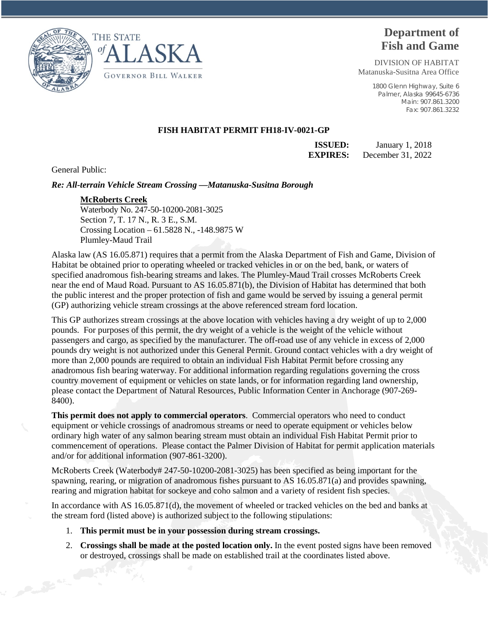



# **Department of Fish and Game**

DIVISION OF HABITAT Matanuska-Susitna Area Office

> 1800 Glenn Highway, Suite 6 Palmer, Alaska 99645-6736 Main: 907.861.3200 Fax: 907.861.3232

# **FISH HABITAT PERMIT FH18-IV-0021-GP**

**ISSUED:** January 1, 2018 **EXPIRES:** December 31, 2022

General Public:

### *Re: All-terrain Vehicle Stream Crossing —Matanuska-Susitna Borough*

### **McRoberts Creek**

Waterbody No. 247-50-10200-2081-3025 Section 7, T. 17 N., R. 3 E., S.M. Crossing Location – 61.5828 N., -148.9875 W Plumley-Maud Trail

Alaska law (AS 16.05.871) requires that a permit from the Alaska Department of Fish and Game, Division of Habitat be obtained prior to operating wheeled or tracked vehicles in or on the bed, bank, or waters of specified anadromous fish-bearing streams and lakes. The Plumley-Maud Trail crosses McRoberts Creek near the end of Maud Road. Pursuant to AS 16.05.871(b), the Division of Habitat has determined that both the public interest and the proper protection of fish and game would be served by issuing a general permit (GP) authorizing vehicle stream crossings at the above referenced stream ford location.

This GP authorizes stream crossings at the above location with vehicles having a dry weight of up to 2,000 pounds. For purposes of this permit, the dry weight of a vehicle is the weight of the vehicle without passengers and cargo, as specified by the manufacturer. The off-road use of any vehicle in excess of 2,000 pounds dry weight is not authorized under this General Permit. Ground contact vehicles with a dry weight of more than 2,000 pounds are required to obtain an individual Fish Habitat Permit before crossing any anadromous fish bearing waterway. For additional information regarding regulations governing the cross country movement of equipment or vehicles on state lands, or for information regarding land ownership, please contact the Department of Natural Resources, Public Information Center in Anchorage (907-269- 8400).

**This permit does not apply to commercial operators**. Commercial operators who need to conduct equipment or vehicle crossings of anadromous streams or need to operate equipment or vehicles below ordinary high water of any salmon bearing stream must obtain an individual Fish Habitat Permit prior to commencement of operations. Please contact the Palmer Division of Habitat for permit application materials and/or for additional information (907-861-3200).

McRoberts Creek (Waterbody# 247-50-10200-2081-3025) has been specified as being important for the spawning, rearing, or migration of anadromous fishes pursuant to AS 16.05.871(a) and provides spawning, rearing and migration habitat for sockeye and coho salmon and a variety of resident fish species.

In accordance with AS 16.05.871(d), the movement of wheeled or tracked vehicles on the bed and banks at the stream ford (listed above) is authorized subject to the following stipulations:

- 1. **This permit must be in your possession during stream crossings.**
- 2. **Crossings shall be made at the posted location only.** In the event posted signs have been removed or destroyed, crossings shall be made on established trail at the coordinates listed above.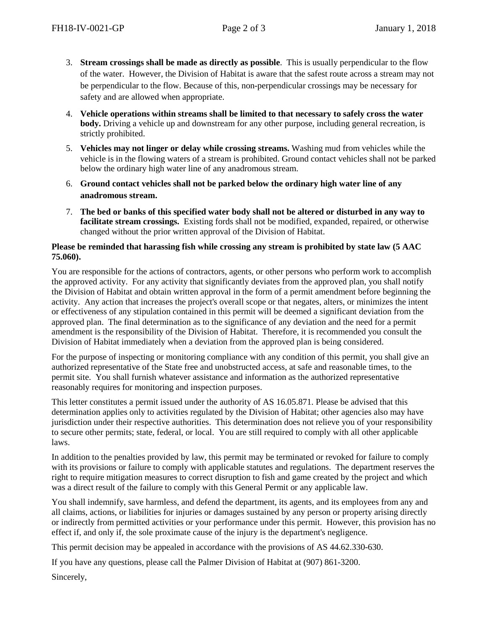- 3. **Stream crossings shall be made as directly as possible**. This is usually perpendicular to the flow of the water. However, the Division of Habitat is aware that the safest route across a stream may not be perpendicular to the flow. Because of this, non-perpendicular crossings may be necessary for safety and are allowed when appropriate.
- 4. **Vehicle operations within streams shall be limited to that necessary to safely cross the water body.** Driving a vehicle up and downstream for any other purpose, including general recreation, is strictly prohibited.
- 5. **Vehicles may not linger or delay while crossing streams.** Washing mud from vehicles while the vehicle is in the flowing waters of a stream is prohibited. Ground contact vehicles shall not be parked below the ordinary high water line of any anadromous stream.
- 6. **Ground contact vehicles shall not be parked below the ordinary high water line of any anadromous stream.**
- 7. **The bed or banks of this specified water body shall not be altered or disturbed in any way to facilitate stream crossings.** Existing fords shall not be modified, expanded, repaired, or otherwise changed without the prior written approval of the Division of Habitat.

# **Please be reminded that harassing fish while crossing any stream is prohibited by state law (5 AAC 75.060).**

You are responsible for the actions of contractors, agents, or other persons who perform work to accomplish the approved activity. For any activity that significantly deviates from the approved plan, you shall notify the Division of Habitat and obtain written approval in the form of a permit amendment before beginning the activity. Any action that increases the project's overall scope or that negates, alters, or minimizes the intent or effectiveness of any stipulation contained in this permit will be deemed a significant deviation from the approved plan. The final determination as to the significance of any deviation and the need for a permit amendment is the responsibility of the Division of Habitat. Therefore, it is recommended you consult the Division of Habitat immediately when a deviation from the approved plan is being considered.

For the purpose of inspecting or monitoring compliance with any condition of this permit, you shall give an authorized representative of the State free and unobstructed access, at safe and reasonable times, to the permit site. You shall furnish whatever assistance and information as the authorized representative reasonably requires for monitoring and inspection purposes.

This letter constitutes a permit issued under the authority of AS 16.05.871. Please be advised that this determination applies only to activities regulated by the Division of Habitat; other agencies also may have jurisdiction under their respective authorities. This determination does not relieve you of your responsibility to secure other permits; state, federal, or local. You are still required to comply with all other applicable laws.

In addition to the penalties provided by law, this permit may be terminated or revoked for failure to comply with its provisions or failure to comply with applicable statutes and regulations. The department reserves the right to require mitigation measures to correct disruption to fish and game created by the project and which was a direct result of the failure to comply with this General Permit or any applicable law.

You shall indemnify, save harmless, and defend the department, its agents, and its employees from any and all claims, actions, or liabilities for injuries or damages sustained by any person or property arising directly or indirectly from permitted activities or your performance under this permit. However, this provision has no effect if, and only if, the sole proximate cause of the injury is the department's negligence.

This permit decision may be appealed in accordance with the provisions of AS 44.62.330-630.

If you have any questions, please call the Palmer Division of Habitat at (907) 861-3200.

Sincerely,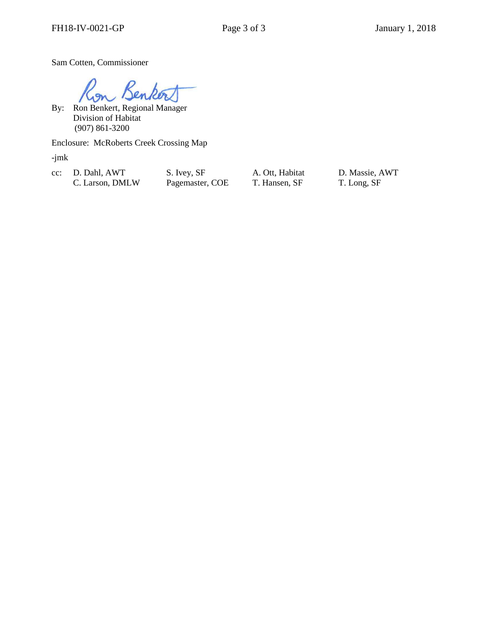Sam Cotten, Commissioner

Sen

 By: Ron Benkert, Regional Manager Division of Habitat (907) 861-3200

Enclosure: McRoberts Creek Crossing Map

-jmk

cc: D. Dahl, AWT S. Ivey, SF A. Ott, Habitat D. Massie, AWT C. Larson, DMLW Pagemaster, COE T. Hansen, SF T. Long, SF C. Larson, DMLW Pagemaster, COE T. Hansen, SF T. Long, SF